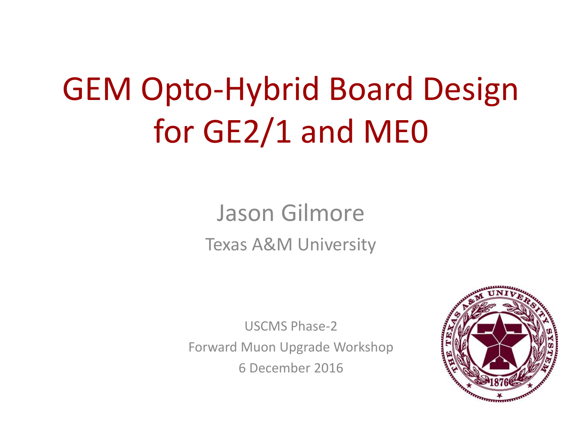# GEM Opto-Hybrid Board Design for GE2/1 and ME0

### Jason Gilmore Texas A&M University

USCMS Phase-2 Forward Muon Upgrade Workshop 6 December 2016

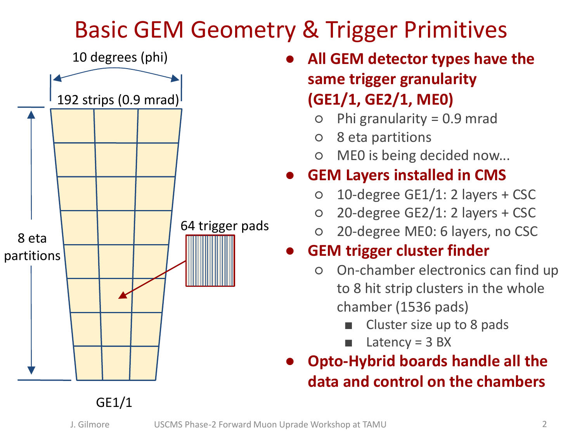# Basic GEM Geometry & Trigger Primitives



- **All GEM detector types have the same trigger granularity (GE1/1, GE2/1, ME0)**
	- Phi granularity =  $0.9$  mrad
	- 8 eta partitions
	- ME0 is being decided now...

#### **GEM Layers installed in CMS**

- $\circ$  10-degree GE1/1: 2 layers + CSC
- 20-degree GE2/1: 2 layers + CSC
- 20-degree ME0: 6 layers, no CSC

#### **GEM trigger cluster finder**

- On-chamber electronics can find up to 8 hit strip clusters in the whole chamber (1536 pads)
	- Cluster size up to 8 pads
	- Latency =  $3$  BX
- **Opto-Hybrid boards handle all the data and control on the chambers**

#### GE1/1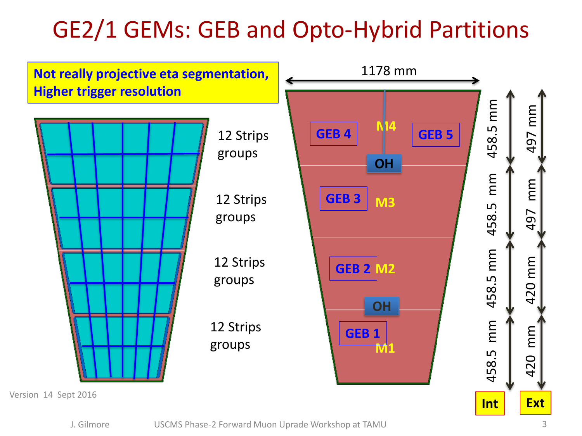# GE2/1 GEMs: GEB and Opto-Hybrid Partitions



J. Gilmore USCMS Phase-2 Forward Muon Uprade Workshop at TAMU 3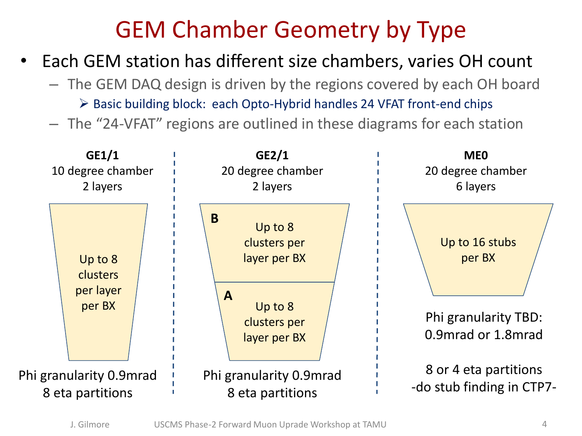### GEM Chamber Geometry by Type

- Each GEM station has different size chambers, varies OH count
	- The GEM DAQ design is driven by the regions covered by each OH board  $\triangleright$  Basic building block: each Opto-Hybrid handles 24 VFAT front-end chips
	- The "24-VFAT" regions are outlined in these diagrams for each station

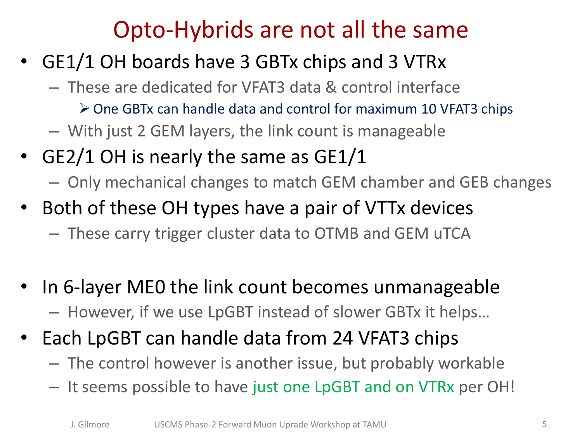### Opto-Hybrids are not all the same

- GE1/1 OH boards have 3 GBTx chips and 3 VTRx
	- These are dedicated for VFAT3 data & control interface
		- One GBTx can handle data and control for maximum 10 VFAT3 chips
	- With just 2 GEM layers, the link count is manageable
- GE2/1 OH is nearly the same as GE1/1
	- Only mechanical changes to match GEM chamber and GEB changes
- Both of these OH types have a pair of VTTx devices
	- These carry trigger cluster data to OTMB and GEM uTCA
- In 6-layer ME0 the link count becomes unmanageable – However, if we use LpGBT instead of slower GBTx it helps…
- Each LpGBT can handle data from 24 VFAT3 chips
	- The control however is another issue, but probably workable
	- It seems possible to have just one LpGBT and on VTRx per OH!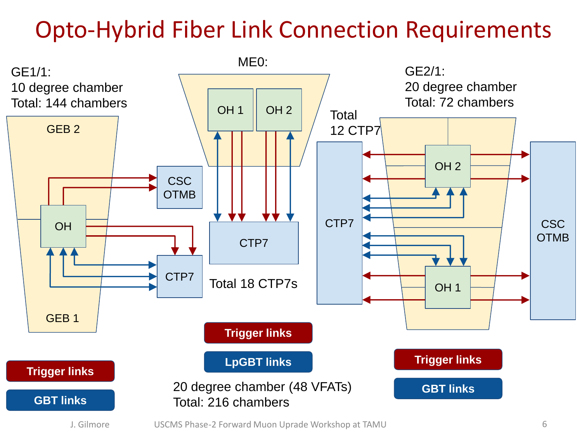# Opto-Hybrid Fiber Link Connection Requirements

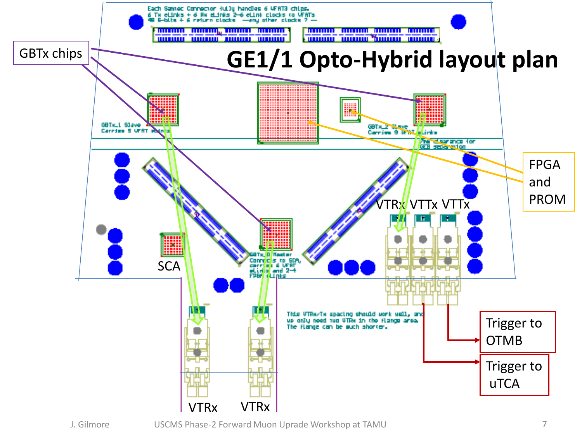

J. Gilmore USCMS Phase-2 Forward Muon Uprade Workshop at TAMU 7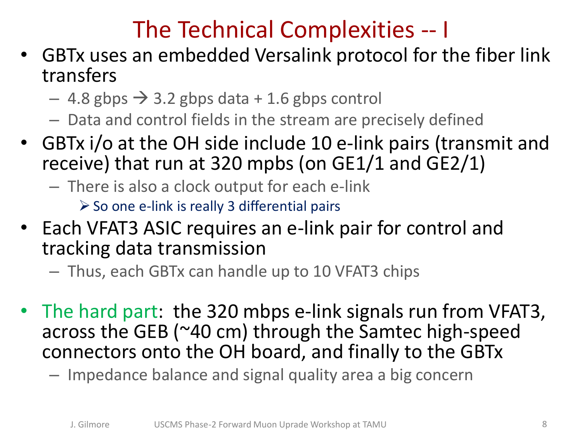# The Technical Complexities -- I

- GBTx uses an embedded Versalink protocol for the fiber link transfers
	- $-$  4.8 gbps  $\rightarrow$  3.2 gbps data + 1.6 gbps control
	- Data and control fields in the stream are precisely defined
- GBTx i/o at the OH side include 10 e-link pairs (transmit and receive) that run at 320 mpbs (on GE1/1 and GE2/1)
	- There is also a clock output for each e-link

 $\triangleright$  So one e-link is really 3 differential pairs

- Each VFAT3 ASIC requires an e-link pair for control and tracking data transmission
	- Thus, each GBTx can handle up to 10 VFAT3 chips
- The hard part: the 320 mbps e-link signals run from VFAT3, across the GEB (~40 cm) through the Samtec high-speed connectors onto the OH board, and finally to the GBTx
	- Impedance balance and signal quality area a big concern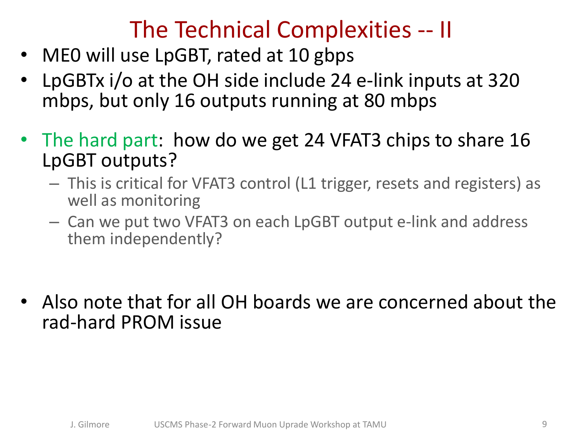### The Technical Complexities -- II

- ME0 will use LpGBT, rated at 10 gbps
- LpGBTx i/o at the OH side include 24 e-link inputs at 320 mbps, but only 16 outputs running at 80 mbps
- The hard part: how do we get 24 VFAT3 chips to share 16 LpGBT outputs?
	- This is critical for VFAT3 control (L1 trigger, resets and registers) as well as monitoring
	- Can we put two VFAT3 on each LpGBT output e-link and address them independently?
- Also note that for all OH boards we are concerned about the rad-hard PROM issue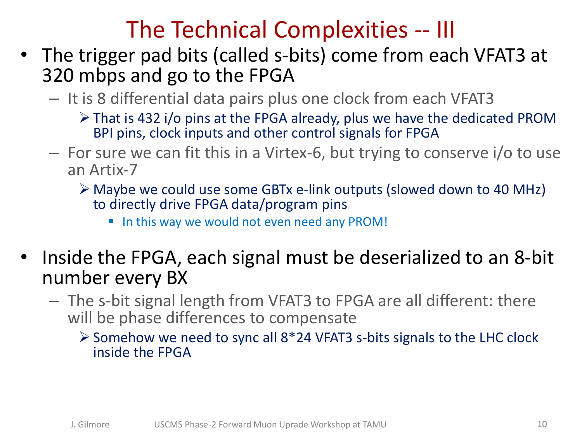#### The Technical Complexities -- III

- The trigger pad bits (called s-bits) come from each VFAT3 at 320 mbps and go to the FPGA
	- It is 8 differential data pairs plus one clock from each VFAT3
		- That is 432 i/o pins at the FPGA already, plus we have the dedicated PROM BPI pins, clock inputs and other control signals for FPGA
	- For sure we can fit this in a Virtex-6, but trying to conserve i/o to use an Artix-7
		- Maybe we could use some GBTx e-link outputs (slowed down to 40 MHz) to directly drive FPGA data/program pins
			- In this way we would not even need any PROM!
- Inside the FPGA, each signal must be deserialized to an 8-bit number every BX
	- The s-bit signal length from VFAT3 to FPGA are all different: there will be phase differences to compensate
		- $\geq$  Somehow we need to sync all 8\*24 VFAT3 s-bits signals to the LHC clock inside the FPGA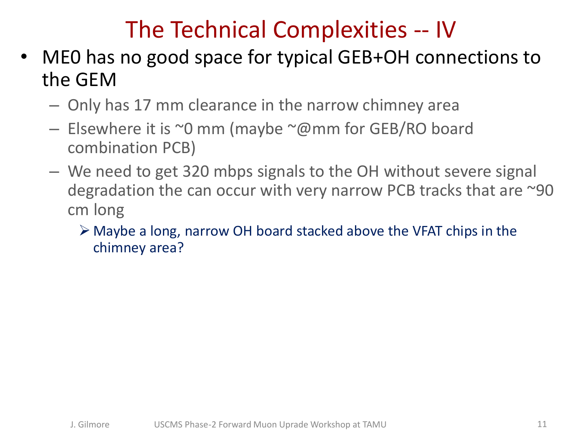# The Technical Complexities -- IV

- ME0 has no good space for typical GEB+OH connections to the GEM
	- Only has 17 mm clearance in the narrow chimney area
	- $-$  Elsewhere it is  $\sim$ 0 mm (maybe  $\sim$ @mm for GEB/RO board combination PCB)
	- We need to get 320 mbps signals to the OH without severe signal degradation the can occur with very narrow PCB tracks that are ~90 cm long
		- Maybe a long, narrow OH board stacked above the VFAT chips in the chimney area?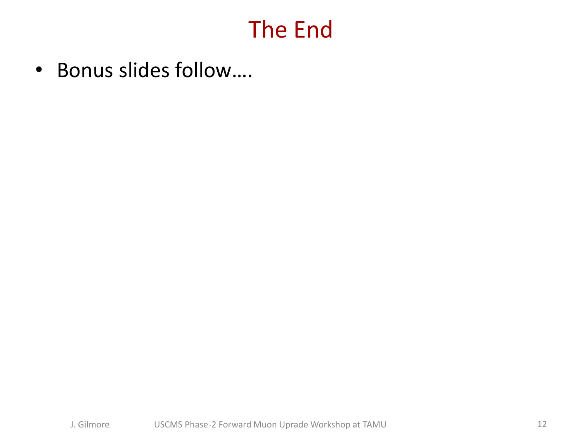#### The End

• Bonus slides follow….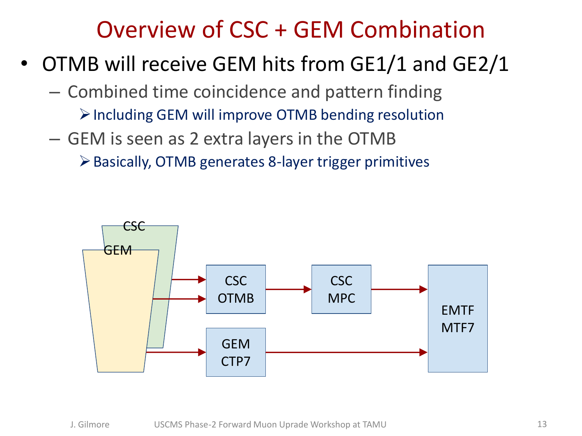#### Overview of CSC + GEM Combination

- OTMB will receive GEM hits from GE1/1 and GE2/1
	- Combined time coincidence and pattern finding
		- $\triangleright$  Including GEM will improve OTMB bending resolution
	- GEM is seen as 2 extra layers in the OTMB
		- Basically, OTMB generates 8-layer trigger primitives